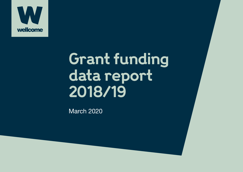

# **Grant funding data report 2018/19**

March 2020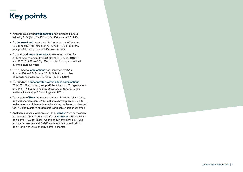## **Key points**

- Wellcome's current **grant portfolio** has increased in total value by 31% (from £3,502m to £4,586m) since 2014/15.
- Our **international** grant portfolio has grown by 88% (from £663m to £1,245m) since 2014/15. 73% (£3,341m) of the total portfolio still supports UK-based activity.
- Our standard **response-mode** schemes accounted for 39% of funding committed (£360m of £927m) in 2018/19, and 42% (£1,898m of £4,486m) of total funding committed over the past five years.
- The number of **applications** has increased by 37% (from 4,886 to 6,745) since 2014/15, but the number of awards has fallen by 3% (from 1,173 to 1,134).
- Our funding is **concentrated within a few organisations**. 76% (£3,492m) of our grant portfolio is held by 20 organisations, and 41% (£1,897m) is held by University of Oxford, Sanger Institute, University of Cambridge and UCL.
- The impact of **Brexit** remains uncertain. Since the referendum, applications from non-UK EU nationals have fallen by 25% for early-career and intermediate fellowships, but have not changed for PhD and Master's studentships and senior-career schemes.
- Applicant success rates are similar by **gender** (18% for women applicants; 17% for men) but differ by **ethnicity** (18% for white applicants; 15% for Black, Asian and Minority Ethnic (BAME) applicants. Women and BAME applicants are more likely to apply for lower-value or early-career schemes.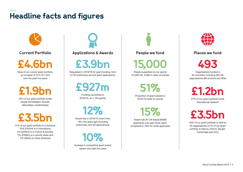## **Headline facts and figures**



**Current Portfolio**

**£4.6bn**

Value of our current grant portfolio, an increase of 31% (£1.1bn) over the past five years

**£1.9bn**

42% of our grant portfolio funds people (Investigator Awards, fellowships, studentships)

**£3.5bn**

77% of our grant portfolio is in Science. 10% (£445m) is in Innovations; 4% (£200m) is in Culture & Society; 7% (£308m) is in priority areas and 2% (£93m) is cross-divisional

**Applications & Awards**

**£3.9bn**

Requested in 2018/19 for grant funding, from 6,745 preliminary and full grant applications

**£927m** 

Funding committed in 2018/19, on 1,134 grants

**12%**

Award rate in 2018/19, down from 19% five years ago (including preliminary and full applications)

**10%**

Increase in competitive grant award values over past five years

**People we fund**

**15,000**

People supported on our grants (12,000 UK, 3,000 in other countries)

**51%**

Proportion of grant awards in 2018/19 made to women

**15%**

Award rate for UK-based BAME applicants over past three years, compared to 18% for white applicants



**Places we fund**

**493** 

Organisations funded in 92 countries, including 265 UK organisations (80 of which are HEIs)

**£1.2bn** 

27% of our grant portfolio funds international research

**£3.5bn**

76% of our grant portfolio is held by 20 organisations (41% of our grant portfolio is held by Oxford, Sanger, Cambridge and UCL)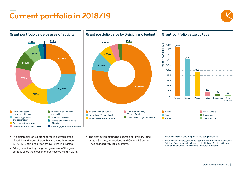## **Current portfolio in 2018/19**





- The distribution of our grant portfolio between areas of activity and types of grant has changed little since 2014/15. Funding has risen by over 25% in all areas.
- Priority area funding is a growing element of the grant portfolio since the creation of our Reserve Fund in 2016.
- The distribution of funding between our Primary Fund areas – Science, Innovations, and Culture & Society – has changed very little over time.
- \* Includes £548m in core support for the Sanger Institute.
- \*\* Includes India Alliance, Diamond Light Source, Stevenage Bioscience Catalyst, Open Access block awards, Institutional Strategic Support Fund and Institutional Translational Partnership Awards.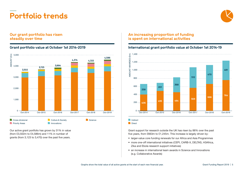

### **Our grant portfolio has risen steadily over time**

**Portfolio trends**



Our active grant portfolio has grown by 31% in value (from £3,502m to £4,586m) and 11% in number of grants (from 3,123 to 3,470) over the past five years.

### **An increasing proportion of funding is spent on international activities**

### **Grant portfolio value at October 1st 2014-2019 International grant portfolio value at October 1st 2014-19**



**Indirect** 

**Direct** 

Grant support for research outside the UK has risen by 88% over the past five years, from £663m to £1,245m. This increase is largely driven by:

- larger-value core funding renewals for our Africa and Asia Programmes
- more one-off international initiatives (CEPI, CARB-X, DELTAS, H3Africa, Zika and Ebola research support initiatives)
- an increase in international team awards in Science and Innovations (e.g. Collaborative Awards)

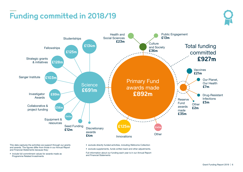## **Funding committed in 2018/19**





This data captures the activities we support through our grants and awards. The figures differ from those in our Annual Report and Financial Statements because they:

• include full commitment values for awards made as Programme Related Investments

- exclude directly funded activities, including Wellcome Collection
- exclude supplements, funds written back and other adjustments.

Full information about our funding each year is in our Annual Report and Financial Statements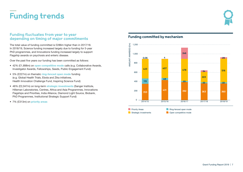## **Funding trends**



### **Funding fluctuates from year to year depending on timing of major commitments**

The total value of funding committed is £286m higher than in 2017/18. In 2018/19, Science funding increased largely due to funding for 5-year PhD programmes, and Innovations funding increased largely to support Flagship awards on psychosis and enteric disease.

Over the past five years our funding has been committed as follows:

- 42% (£1,898m) on **open competitive mode** calls (e.g. Collaborative Awards, Investigator Awards, Fellowships, Seeds, Public Engagement Fund)
- 5% (£227m) on thematic **ring-fenced open mode** funding (e.g. Global Health Trials, Ebola and Zika initiatives, Health Innovation Challenge Fund, Inspiring Science Fund)
- 46% (£2,047m) on long-term **strategic investments** (Sanger Institute, Hilleman Laboratories, Centres, Africa and Asia Programmes, Innovations Flagships and Priorities, India Alliance, Diamond Light Source, Biobank, PhD Programmes, Institutional Strategic Support Fund)
- 7% (£313m) on **priority areas**

### **Funding committed by mechanism**



Strategic investments

Open competitive mode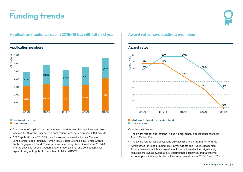## **Funding trends**



### Application numbers rose in 2018/19 but will fall next year  $\parallel$  Award rates have declined over time



### **Application numbers Award rates**

### Now discontinued schemes

### **Current schemes**

- The number of applications has increased by 37% over the past five years. We received 6,745 preliminary and full applications last year and made 1,134 awards.
- 2,620 applications in 2018/19 were for low-value award schemes: Vacation Scholarships, Seed Funding, Humanities & Social Science (HSS) Small Grants, Public Engagement Fund. These schemes are being discontinued from 2019/20 and the activities funded through different mechanisms, and consequently we expect total grant application numbers to fall in 2019/20.



### **All schemes (including those now discontinued Current schemes**

Over the past five years:

- The award rate for applications (including preliminary applications) has fallen from 19% to 12%.
- The award rate for full applications only has also fallen, from 24% to 16%.
- Award rates for Seed Funding, HSS Small Grants and Public Engagement Fund schemes – which are now discontinued – have declined significantly, reducing the overall award rate. Excluding these schemes, and taking into account preliminary applications, the overall award rate in 2018/19 was 15%.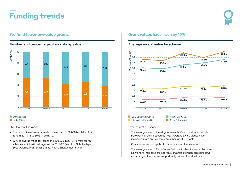**Funding trends**



### **Number and percentage of awards by value**



### **E** £100k or more

Under £100k

Over the past five years:

- The proportion of awards made for less than £100,000 has fallen from 53% in 2014/15 to 39% in 2018/19.
- 67% of awards made for less than £100,000 in 2018/19 were for four schemes which will no longer run in 2019/20 (Vacation Scholarships, Seed Awards, HSS Small Grants, Public Engagement Fund).

### **We fund fewer low-value grants Grant values have risen by 10%**

### **Average award value by scheme**



Over the past five years:

- The average value of Investigator Awards, Senior and Intermediate Fellowships has increased by 10%. Average award values have increased more on Science grants than on HSS grants.
- Costs requested on applications have shown the same trend.
- The average value of Early Career Fellowships has increased by more, as we have increased the set value of awards for non-clinical fellows and changed the way we support early career clinical fellows.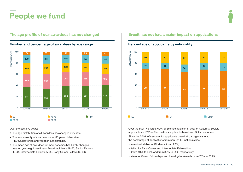## **People we fund**



**The age profile of our awardees has not changed Brexit has not had a major impact on applications**

Over the past five years:

- The age distribution of all awardees has changed very little.
- The vast majority of awardees under 30 years old received PhD Studentships and Vacation Scholarships.
- The mean age of awardees for most schemes has hardly changed year on year (e.g. Investigator Award recipients 49-50, Senior Fellows 43-44, Intermediate Fellows 37-38, Early Career Fellows 32-34).



**Percentage of applicants by nationality**

Over the past five years, 60% of Science applicants, 75% of Culture & Society applicants and 79% of Innovations applicants have been British nationals.

Since the 2016 referendum, for applicants based at UK organisations, the percentage of applications from non-UK EU nationals has:

- remained stable for Studentships (c.20%)
- fallen for Early Career and Intermediate Fellowships (from 40% to 30% and from 30% to 25% respectively)
- risen for Senior Fellowships and Investigator Awards (from 20% to 25%)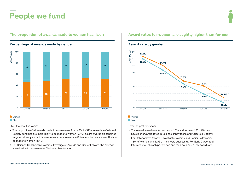## **People we fund**



### **Percentage of awards made by gender Award rate by gender Award rate by gender**

### **Nomen Men**

Over the past five years:

- The proportion of all awards made to women rose from 46% to 51%. Awards in Culture & Society schemes are more likely to be made to women (59%), as are awards on schemes targeted at early and mid career researchers. Awards in Science schemes are less likely to be made to women (38%).
- For Science Collaborative Awards, Investigator Awards and Senior Fellows, the average award value for women was 5% lower than for men.

### The proportion of awards made to women has risen **Award rates for women are slightly higher than for** men



### **Nomen**

**Men** 

Over the past five years:

- The overall award rate for women is 18% and for men 17%. Women have higher award rates in Science, Innovations and Culture & Society.
- For Collaborative Awards, Investigator Awards and Senior Fellowships, 13% of women and 12% of men were successful. For Early Career and Intermediate Fellowships, women and men both had a 9% award rate.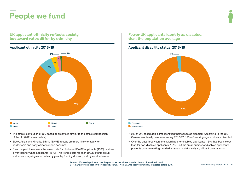**People we fund**

**UK applicant ethnicity reflects society, but award rates differ by ethnicity**



- The ethnic distribution of UK-based applicants is similar to the ethnic composition of the UK (2011 census data).
- Black, Asian and Minority Ethnic (BAME) groups are more likely to apply for studentship and early career support schemes.
- Over the past three years the award rate for UK-based BAME applicants (15%) has been lower than for white applicants (18%). This trend exists for each BAME ethnic group, and when analysing award rates by year, by funding division, and by most schemes.

### **Fewer UK applicants identify as disabled than the population average**

### **Applicant ethnicity 2016/19 Applicant disability status 2016/19**



**Disabled** 

Not disabled

- 2% of UK-based applicants identified themselves as disabled. According to the UK Government family resources survey 2016/17, 19% of working-age adults are disabled.
- Over the past three years the award rate for disabled applicants (13%) has been lower than for non-disabled applicants (15%). But the small number of disabled applicants prevents us from making detailed analysis or statistically significant comparisons.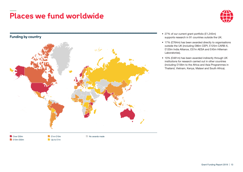## **Places we fund worldwide**



### **Funding by country**



### • 27% of our current grant portfolio (£1,245m) supports research in 91 countries outside the UK.

- 17% (£764m) has been awarded directly to organisations outside the UK (including £86m CEPI, £125m CARB-X, £120m India Alliance, £57m AESA and £45m Hilleman Laboratories).
- 10% (£481m) has been awarded indirectly through UK institutions for research carried out in other countries (including £156m to the Africa and Asia Programmes in Thailand, Vietnam, Kenya, Malawi and South Africa).

Over £50m **210m-£50m**   $E1m-E10m$ Up to £1m No awards made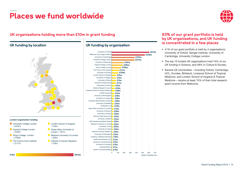## **Places we fund worldwide**



### **UK organisations holding more than £10m in grant funding 83% of our grant portfolio is held**

**C** London School of Hygiene

Queen Mary University of London –  $E31m$ 

**Birkbeck University of London** 

**Institute of Cancer Research** 

– £76m

– £22m

 $-$  £18m



### **London organisation funding**

- **University College London** – £370m
- **Imperial College London** – £182m
- King's College London  $-$  £156 $m$
- **The Francis Crick Institute**  $f17m$



## **by UK organisations, and UK funding is concentrated in a few places UK funding by location UK funding by organisation**

- 41% of our grant portfolio is held by 4 organisations: University of Oxford, Sanger Institute, University of Cambridge, University College London.
- The top 10 funded UK organisations hold 74% of our UK funding in Science, and 48% in Culture & Society.
- Several UK Universities including Oxford, Cambridge, UCL, Dundee, Birkbeck, Liverpool School of Tropical Medicine, and London School of Hygiene & Tropical Medicine – receive at least 15% of their total research grant income from Wellcome.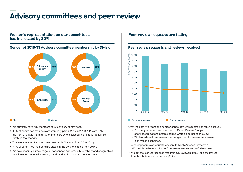## **Advisory committees and peer review**

### **Women's representation on our committees has increased by 50%**



- We currently have 437 members of 39 advisory committees.
- 45% of committee members are women (up from 29% in 2014), 11% are BAME (up from 9% in 2014), and 1% of members who disclosed their status identify as disabled (no change).
- The average age of a committee member is 52 (down from 55 in 2014),
- 71% of committee members are based in the UK (no change from 2014).
- We have recently agreed targets for gender, age, ethnicity, disability and geographical location – to continue increasing the diversity of our committee members.

### **Peer review requests are falling**



Over the past five years, the number of peer review requests has fallen because:

- For many schemes, we now use our Expert Review Groups to shortlist applications before seeking written external peer review.
- Written external peer review is no longer used for several small-value, high-volume schemes.
- 40% of peer review requests are sent to North American reviewers, 32% to UK reviewers, 19% to European reviewers and 9% elsewhere.
- We get the highest response rate from UK reviewers (59%) and the lowest from North American reviewers (35%).